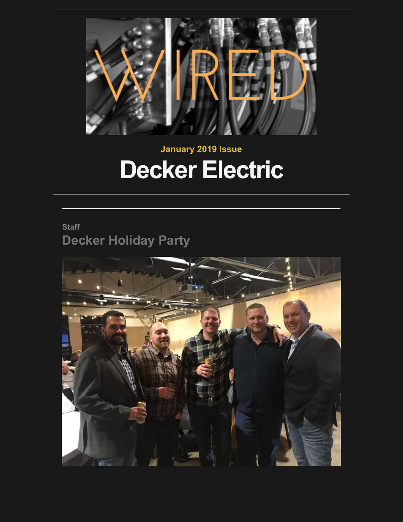

# **January 2019 Issue Decker Electric**

# **Staff Decker Holiday Party**

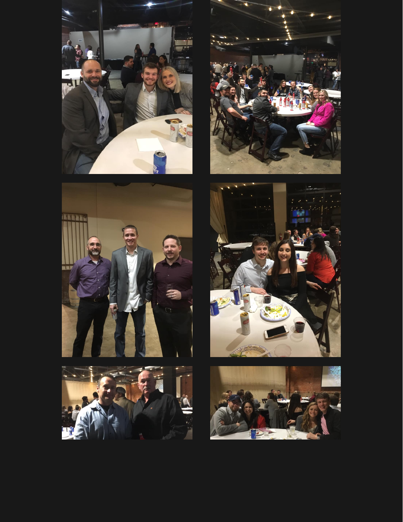









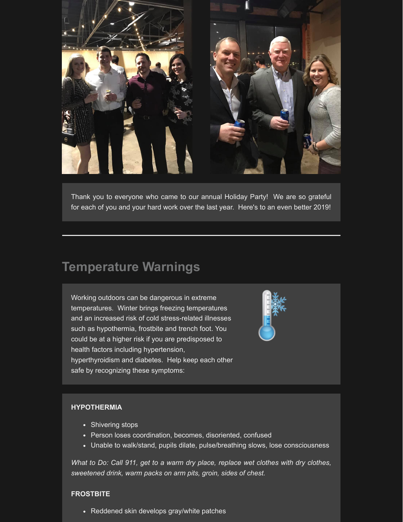

Thank you to everyone who came to our annual Holiday Party! We are so grateful for each of you and your hard work over the last year. Here's to an even better 2019!

# **Temperature Warnings**

Working outdoors can be dangerous in extreme temperatures. Winter brings freezing temperatures and an increased risk of cold stress-related illnesses such as hypothermia, frostbite and trench foot. You could be at a higher risk if you are predisposed to health factors including hypertension, hyperthyroidism and diabetes. Help keep each other safe by recognizing these symptoms:



#### **HYPOTHERMIA**

- Shivering stops
- Person loses coordination, becomes, disoriented, confused
- Unable to walk/stand, pupils dilate, pulse/breathing slows, lose consciousness

*What to Do: Call 911, get to a warm dry place, replace wet clothes with dry clothes, sweetened drink, warm packs on arm pits, groin, sides of chest.* 

#### **FROSTBITE**

• Reddened skin develops gray/white patches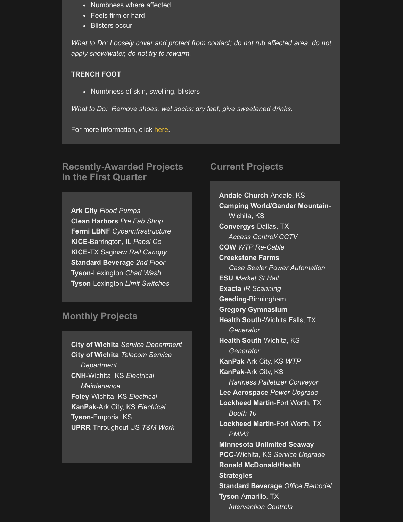- Numbness where affected
- Feels firm or hard
- Blisters occur

*What to Do: Loosely cover and protect from contact; do not rub affected area, do not apply snow/water, do not try to rewarm.*

#### **TRENCH FOOT**

• Numbness of skin, swelling, blisters

*What to Do: Remove shoes, wet socks; dry feet; give sweetened drinks.*

For more information, click [here.](https://www.osha.gov/SLTC/emergencypreparedness/guides/cold.html)

### **Recently-Awarded Projects in the First Quarter**

**Ark City** *Flood Pumps* **Clean Harbors** *Pre Fab Shop* **Fermi LBNF** *Cyberinfrastructure* **KICE**-Barrington, IL *Pepsi Co* **KICE**-TX Saginaw *Rail Canopy* **Standard Beverage** *2nd Floor* **Tyson**-Lexington *Chad Wash* **Tyson**-Lexington *Limit Switches*

### **Monthly Projects**

**City of Wichita** *Service Department* **City of Wichita** *Telecom Service Department* **CNH**-Wichita, KS *Electrical Maintenance* **Foley**-Wichita, KS *Electrical* **KanPak**-Ark City, KS *Electrical* **Tyson**-Emporia, KS **UPRR**-Throughout US *T&M Work*

#### **Current Projects**

**Andale Church**-Andale, KS **Camping World/Gander Mountain**- Wichita, KS **Convergys**-Dallas, TX  *Access Control/ CCTV* **COW** *WTP Re-Cable* **Creekstone Farms**  *Case Sealer Power Automation* **ESU** *Market St Hall* **Exacta** *IR Scanning* **Geeding**-Birmingham **Gregory Gymnasium Health South**-Wichita Falls, TX  *Generator* **Health South**-Wichita, KS  *Generator* **KanPak**-Ark City, KS *WTP* **KanPak**-Ark City, KS  *Hartness Palletizer Conveyor* **Lee Aerospace** *Power Upgrade* **Lockheed Martin**-Fort Worth, TX  *Booth 10* **Lockheed Martin**-Fort Worth, TX  *PMM3* **Minnesota Unlimited Seaway PCC**-Wichita, KS *Service Upgrade* **Ronald McDonald/Health Strategies Standard Beverage** *Office Remodel* **Tyson**-Amarillo, TX  *Intervention Controls*